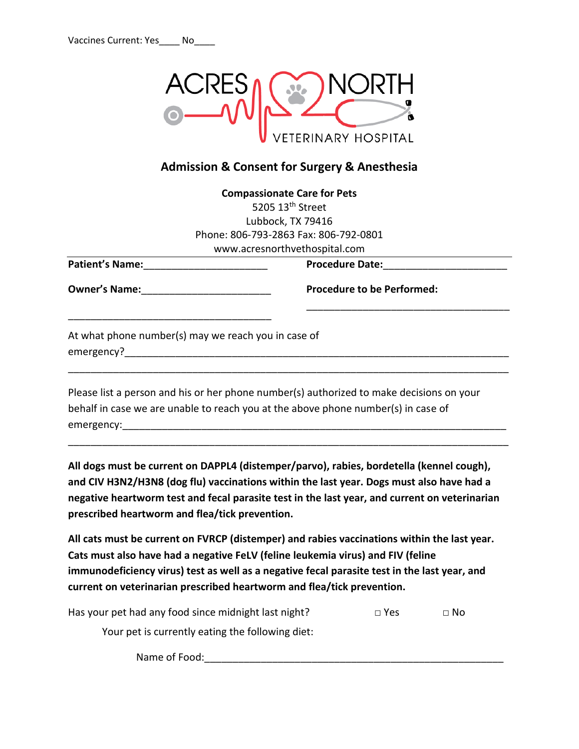

## **Admission & Consent for Surgery & Anesthesia**

|                                                                   | <b>Compassionate Care for Pets</b><br>5205 13 <sup>th</sup> Street                                                                                                            |
|-------------------------------------------------------------------|-------------------------------------------------------------------------------------------------------------------------------------------------------------------------------|
|                                                                   | Lubbock, TX 79416                                                                                                                                                             |
|                                                                   | Phone: 806-793-2863 Fax: 806-792-0801                                                                                                                                         |
|                                                                   | www.acresnorthvethospital.com                                                                                                                                                 |
| <b>Patient's Name:</b>                                            | <b>Procedure Date:</b>                                                                                                                                                        |
| <b>Owner's Name:</b>                                              | <b>Procedure to be Performed:</b>                                                                                                                                             |
| At what phone number(s) may we reach you in case of<br>emergency? |                                                                                                                                                                               |
|                                                                   | Please list a person and his or her phone number(s) authorized to make decisions on your<br>behalf in case we are unable to reach you at the above phone number(s) in case of |

emergency:\_\_\_\_\_\_\_\_\_\_\_\_\_\_\_\_\_\_\_\_\_\_\_\_\_\_\_\_\_\_\_\_\_\_\_\_\_\_\_\_\_\_\_\_\_\_\_\_\_\_\_\_\_\_\_\_\_\_\_\_\_\_\_\_\_\_\_\_

**All dogs must be current on DAPPL4 (distemper/parvo), rabies, bordetella (kennel cough), and CIV H3N2/H3N8 (dog flu) vaccinations within the last year. Dogs must also have had a negative heartworm test and fecal parasite test in the last year, and current on veterinarian prescribed heartworm and flea/tick prevention.**

\_\_\_\_\_\_\_\_\_\_\_\_\_\_\_\_\_\_\_\_\_\_\_\_\_\_\_\_\_\_\_\_\_\_\_\_\_\_\_\_\_\_\_\_\_\_\_\_\_\_\_\_\_\_\_\_\_\_\_\_\_\_\_\_\_\_\_\_\_\_\_\_\_\_\_\_\_\_

**All cats must be current on FVRCP (distemper) and rabies vaccinations within the last year. Cats must also have had a negative FeLV (feline leukemia virus) and FIV (feline immunodeficiency virus) test as well as a negative fecal parasite test in the last year, and current on veterinarian prescribed heartworm and flea/tick prevention.**

Has your pet had any food since midnight last night?  $\Box$  Yes  $\Box$  No

Your pet is currently eating the following diet:

Name of Food:\_\_\_\_\_\_\_\_\_\_\_\_\_\_\_\_\_\_\_\_\_\_\_\_\_\_\_\_\_\_\_\_\_\_\_\_\_\_\_\_\_\_\_\_\_\_\_\_\_\_\_\_\_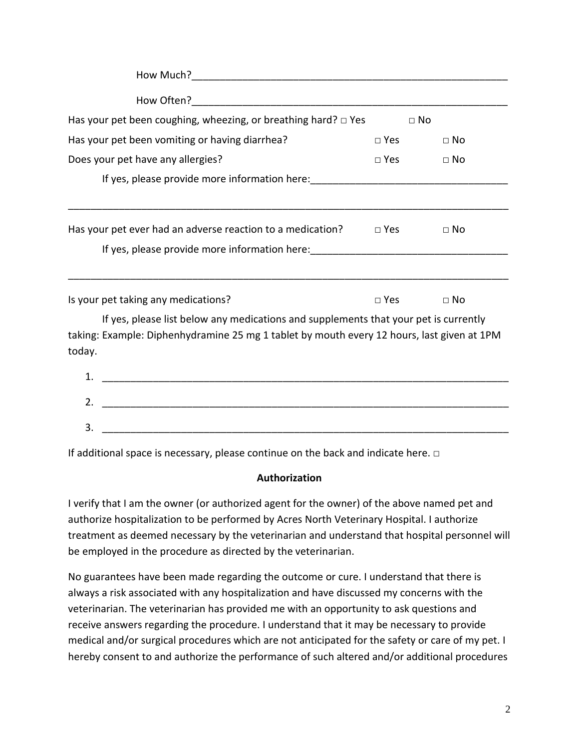| Has your pet been coughing, wheezing, or breathing hard? $\square$ Yes<br>$\Box$ No                                                    |            |           |  |  |  |
|----------------------------------------------------------------------------------------------------------------------------------------|------------|-----------|--|--|--|
| Has your pet been vomiting or having diarrhea?                                                                                         | $\Box$ Yes | $\Box$ No |  |  |  |
| Does your pet have any allergies?                                                                                                      | $\Box$ Yes | $\Box$ No |  |  |  |
|                                                                                                                                        |            |           |  |  |  |
|                                                                                                                                        |            |           |  |  |  |
| Has your pet ever had an adverse reaction to a medication? $\Box$ Yes                                                                  |            | $\Box$ No |  |  |  |
| If yes, please provide more information here: __________________________________                                                       |            |           |  |  |  |
|                                                                                                                                        |            |           |  |  |  |
| Is your pet taking any medications?                                                                                                    | $\Box$ Yes | $\Box$ No |  |  |  |
| If yes, please list below any medications and supplements that your pet is currently                                                   |            |           |  |  |  |
| taking: Example: Diphenhydramine 25 mg 1 tablet by mouth every 12 hours, last given at 1PM                                             |            |           |  |  |  |
| today.                                                                                                                                 |            |           |  |  |  |
| $\mathbf{1}$ .<br><u> 2000 - 2000 - 2000 - 2000 - 2000 - 2000 - 2000 - 2000 - 2000 - 2000 - 2000 - 2000 - 2000 - 2000 - 2000 - 200</u> |            |           |  |  |  |
|                                                                                                                                        |            |           |  |  |  |

| <u>.</u> |  |  |  |
|----------|--|--|--|
| ັ        |  |  |  |

If additional space is necessary, please continue on the back and indicate here.  $\Box$ 

## **Authorization**

I verify that I am the owner (or authorized agent for the owner) of the above named pet and authorize hospitalization to be performed by Acres North Veterinary Hospital. I authorize treatment as deemed necessary by the veterinarian and understand that hospital personnel will be employed in the procedure as directed by the veterinarian.

No guarantees have been made regarding the outcome or cure. I understand that there is always a risk associated with any hospitalization and have discussed my concerns with the veterinarian. The veterinarian has provided me with an opportunity to ask questions and receive answers regarding the procedure. I understand that it may be necessary to provide medical and/or surgical procedures which are not anticipated for the safety or care of my pet. I hereby consent to and authorize the performance of such altered and/or additional procedures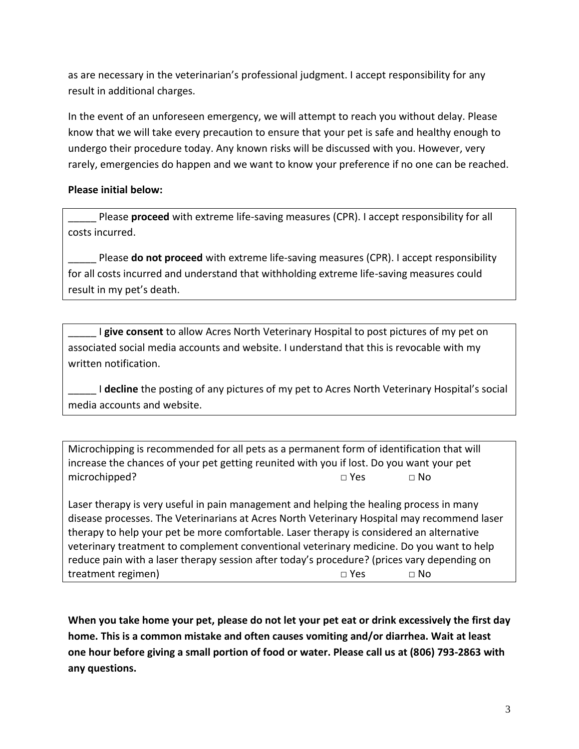as are necessary in the veterinarian's professional judgment. I accept responsibility for any result in additional charges.

In the event of an unforeseen emergency, we will attempt to reach you without delay. Please know that we will take every precaution to ensure that your pet is safe and healthy enough to undergo their procedure today. Any known risks will be discussed with you. However, very rarely, emergencies do happen and we want to know your preference if no one can be reached.

## **Please initial below:**

\_\_\_\_\_ Please **proceed** with extreme life-saving measures (CPR). I accept responsibility for all costs incurred.

\_\_\_\_\_ Please **do not proceed** with extreme life-saving measures (CPR). I accept responsibility for all costs incurred and understand that withholding extreme life-saving measures could result in my pet's death.

\_\_\_\_\_ I **give consent** to allow Acres North Veterinary Hospital to post pictures of my pet on associated social media accounts and website. I understand that this is revocable with my written notification.

\_\_\_\_\_ I **decline** the posting of any pictures of my pet to Acres North Veterinary Hospital's social media accounts and website.

Microchipping is recommended for all pets as a permanent form of identification that will increase the chances of your pet getting reunited with you if lost. Do you want your pet microchipped? □ Yes □ No

Laser therapy is very useful in pain management and helping the healing process in many disease processes. The Veterinarians at Acres North Veterinary Hospital may recommend laser therapy to help your pet be more comfortable. Laser therapy is considered an alternative veterinary treatment to complement conventional veterinary medicine. Do you want to help reduce pain with a laser therapy session after today's procedure? (prices vary depending on treatment regimen) □ Yes □ No

**When you take home your pet, please do not let your pet eat or drink excessively the first day home. This is a common mistake and often causes vomiting and/or diarrhea. Wait at least one hour before giving a small portion of food or water. Please call us at (806) 793-2863 with any questions.**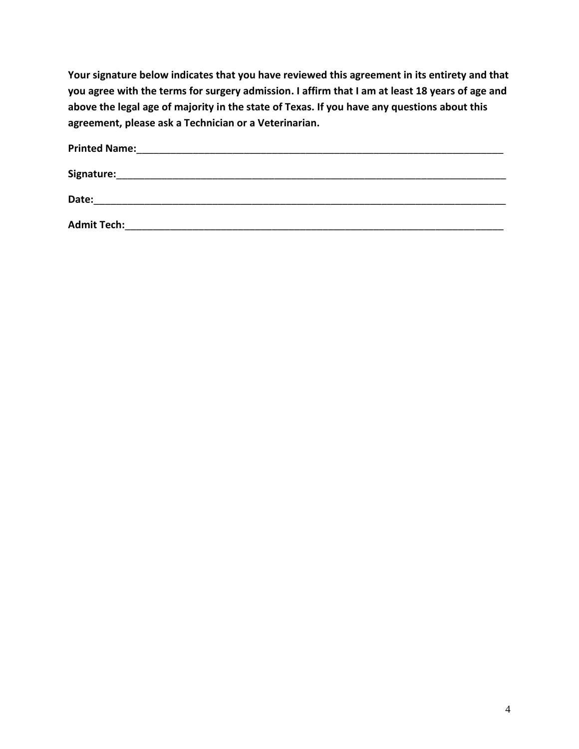**Your signature below indicates that you have reviewed this agreement in its entirety and that you agree with the terms for surgery admission. I affirm that I am at least 18 years of age and above the legal age of majority in the state of Texas. If you have any questions about this agreement, please ask a Technician or a Veterinarian.**

| <b>Printed Name:</b> |  |  |  |
|----------------------|--|--|--|
| Signature:           |  |  |  |
| Date:                |  |  |  |
| <b>Admit Tech:</b>   |  |  |  |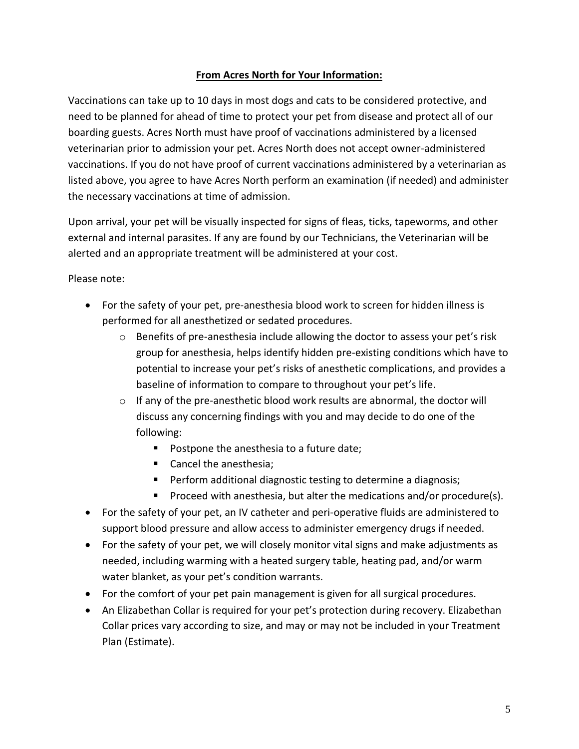## **From Acres North for Your Information:**

Vaccinations can take up to 10 days in most dogs and cats to be considered protective, and need to be planned for ahead of time to protect your pet from disease and protect all of our boarding guests. Acres North must have proof of vaccinations administered by a licensed veterinarian prior to admission your pet. Acres North does not accept owner-administered vaccinations. If you do not have proof of current vaccinations administered by a veterinarian as listed above, you agree to have Acres North perform an examination (if needed) and administer the necessary vaccinations at time of admission.

Upon arrival, your pet will be visually inspected for signs of fleas, ticks, tapeworms, and other external and internal parasites. If any are found by our Technicians, the Veterinarian will be alerted and an appropriate treatment will be administered at your cost.

Please note:

- For the safety of your pet, pre-anesthesia blood work to screen for hidden illness is performed for all anesthetized or sedated procedures.
	- $\circ$  Benefits of pre-anesthesia include allowing the doctor to assess your pet's risk group for anesthesia, helps identify hidden pre-existing conditions which have to potential to increase your pet's risks of anesthetic complications, and provides a baseline of information to compare to throughout your pet's life.
	- o If any of the pre-anesthetic blood work results are abnormal, the doctor will discuss any concerning findings with you and may decide to do one of the following:
		- Postpone the anesthesia to a future date;
		- Cancel the anesthesia;
		- Perform additional diagnostic testing to determine a diagnosis;
		- Proceed with anesthesia, but alter the medications and/or procedure(s).
- For the safety of your pet, an IV catheter and peri-operative fluids are administered to support blood pressure and allow access to administer emergency drugs if needed.
- For the safety of your pet, we will closely monitor vital signs and make adjustments as needed, including warming with a heated surgery table, heating pad, and/or warm water blanket, as your pet's condition warrants.
- For the comfort of your pet pain management is given for all surgical procedures.
- An Elizabethan Collar is required for your pet's protection during recovery. Elizabethan Collar prices vary according to size, and may or may not be included in your Treatment Plan (Estimate).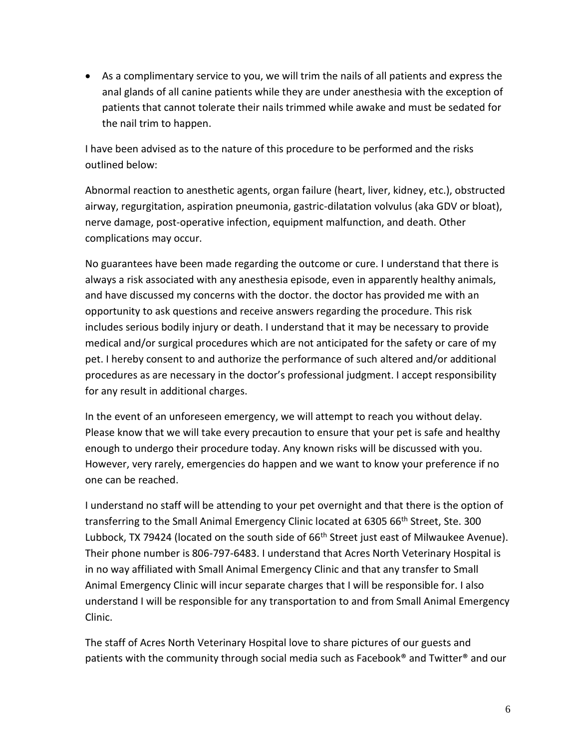• As a complimentary service to you, we will trim the nails of all patients and express the anal glands of all canine patients while they are under anesthesia with the exception of patients that cannot tolerate their nails trimmed while awake and must be sedated for the nail trim to happen.

I have been advised as to the nature of this procedure to be performed and the risks outlined below:

Abnormal reaction to anesthetic agents, organ failure (heart, liver, kidney, etc.), obstructed airway, regurgitation, aspiration pneumonia, gastric-dilatation volvulus (aka GDV or bloat), nerve damage, post-operative infection, equipment malfunction, and death. Other complications may occur.

No guarantees have been made regarding the outcome or cure. I understand that there is always a risk associated with any anesthesia episode, even in apparently healthy animals, and have discussed my concerns with the doctor. the doctor has provided me with an opportunity to ask questions and receive answers regarding the procedure. This risk includes serious bodily injury or death. I understand that it may be necessary to provide medical and/or surgical procedures which are not anticipated for the safety or care of my pet. I hereby consent to and authorize the performance of such altered and/or additional procedures as are necessary in the doctor's professional judgment. I accept responsibility for any result in additional charges.

In the event of an unforeseen emergency, we will attempt to reach you without delay. Please know that we will take every precaution to ensure that your pet is safe and healthy enough to undergo their procedure today. Any known risks will be discussed with you. However, very rarely, emergencies do happen and we want to know your preference if no one can be reached.

I understand no staff will be attending to your pet overnight and that there is the option of transferring to the Small Animal Emergency Clinic located at 6305 66<sup>th</sup> Street, Ste. 300 Lubbock, TX 79424 (located on the south side of 66<sup>th</sup> Street just east of Milwaukee Avenue). Their phone number is 806-797-6483. I understand that Acres North Veterinary Hospital is in no way affiliated with Small Animal Emergency Clinic and that any transfer to Small Animal Emergency Clinic will incur separate charges that I will be responsible for. I also understand I will be responsible for any transportation to and from Small Animal Emergency Clinic.

The staff of Acres North Veterinary Hospital love to share pictures of our guests and patients with the community through social media such as Facebook® and Twitter® and our